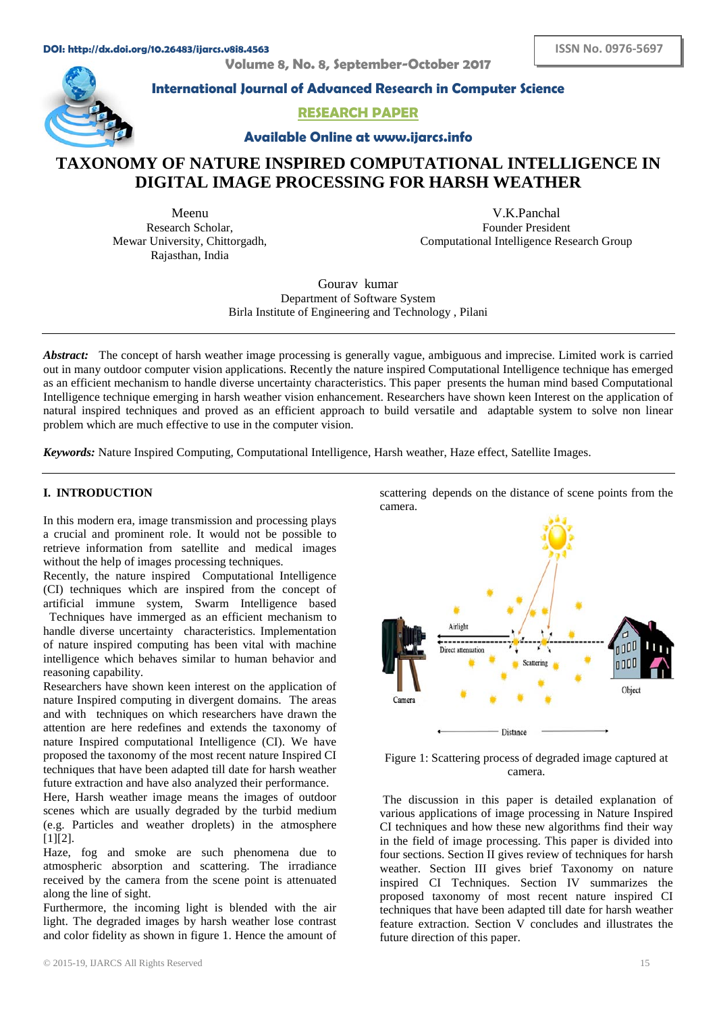**Volume 8, No. 8, September-October 2017**



**International Journal of Advanced Research in Computer Science**

**RESEARCH PAPER**

**Available Online at www.ijarcs.info**

# **TAXONOMY OF NATURE INSPIRED COMPUTATIONAL INTELLIGENCE IN DIGITAL IMAGE PROCESSING FOR HARSH WEATHER**

Meenu Research Scholar, Mewar University, Chittorgadh, Rajasthan, India

V.K.Panchal Founder President Computational Intelligence Research Group

Gourav kumar Department of Software System Birla Institute of Engineering and Technology , Pilani

Abstract: The concept of harsh weather image processing is generally vague, ambiguous and imprecise. Limited work is carried out in many outdoor computer vision applications. Recently the nature inspired Computational Intelligence technique has emerged as an efficient mechanism to handle diverse uncertainty characteristics. This paper presents the human mind based Computational Intelligence technique emerging in harsh weather vision enhancement. Researchers have shown keen Interest on the application of natural inspired techniques and proved as an efficient approach to build versatile and adaptable system to solve non linear problem which are much effective to use in the computer vision.

*Keywords:* Nature Inspired Computing, Computational Intelligence, Harsh weather, Haze effect, Satellite Images.

## **I. INTRODUCTION**

In this modern era, image transmission and processing plays a crucial and prominent role. It would not be possible to retrieve information from satellite and medical images without the help of images processing techniques.

Recently, the nature inspired Computational Intelligence (CI) techniques which are inspired from the concept of artificial immune system, Swarm Intelligence based

1Techniques have immerged as an efficient mechanism to handle diverse uncertainty characteristics. Implementation of nature inspired computing has been vital with machine intelligence which behaves similar to human behavior and reasoning capability.

Researchers have shown keen interest on the application of nature Inspired computing in divergent domains. The areas and with techniques on which researchers have drawn the attention are here redefines and extends the taxonomy of nature Inspired computational Intelligence (CI). We have proposed the taxonomy of the most recent nature Inspired CI techniques that have been adapted till date for harsh weather future extraction and have also analyzed their performance.

Here, Harsh weather image means the images of outdoor scenes which are usually degraded by the turbid medium (e.g. Particles and weather droplets) in the atmosphere [1][2].

Haze, fog and smoke are such phenomena due to atmospheric absorption and scattering. The irradiance received by the camera from the scene point is attenuated along the line of sight.

Furthermore, the incoming light is blended with the air light. The degraded images by harsh weather lose contrast and color fidelity as shown in figure 1. Hence the amount of scattering depends on the distance of scene points from the camera.



Figure 1: Scattering process of degraded image captured at camera.

The discussion in this paper is detailed explanation of various applications of image processing in Nature Inspired CI techniques and how these new algorithms find their way in the field of image processing. This paper is divided into four sections. Section II gives review of techniques for harsh weather. Section III gives brief Taxonomy on nature inspired CI Techniques. Section IV summarizes the proposed taxonomy of most recent nature inspired CI techniques that have been adapted till date for harsh weather feature extraction. Section V concludes and illustrates the future direction of this paper.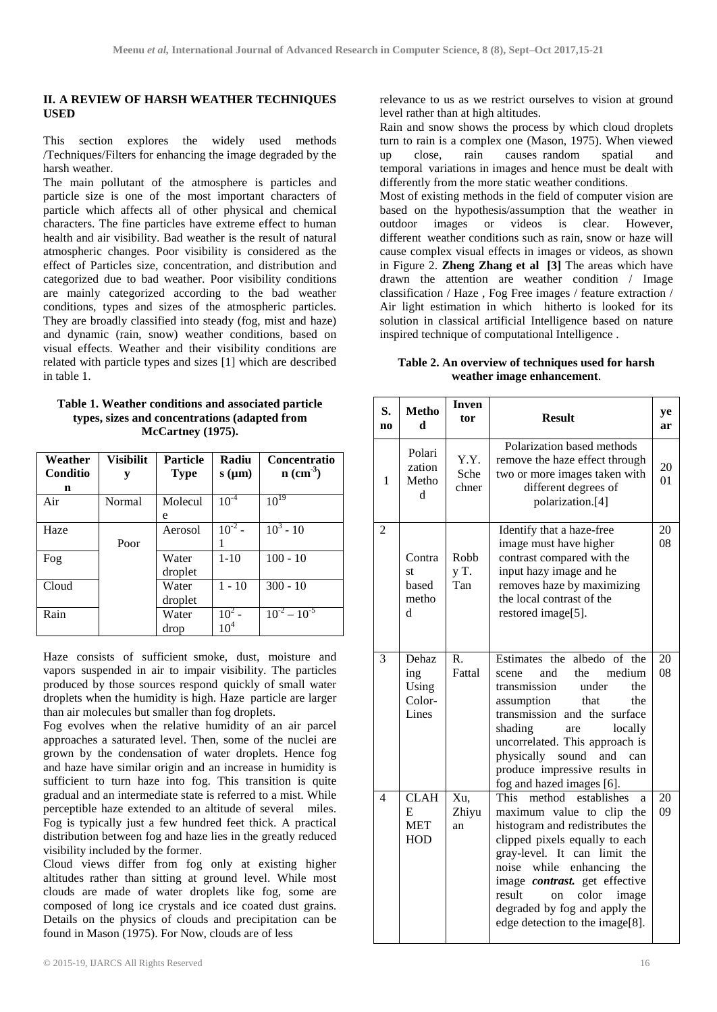### **II. A REVIEW OF HARSH WEATHER TECHNIQUES USED**

This section explores the widely used methods /Techniques/Filters for enhancing the image degraded by the harsh weather.

The main pollutant of the atmosphere is particles and particle size is one of the most important characters of particle which affects all of other physical and chemical characters. The fine particles have extreme effect to human health and air visibility. Bad weather is the result of natural atmospheric changes. Poor visibility is considered as the effect of Particles size, concentration, and distribution and categorized due to bad weather. Poor visibility conditions are mainly categorized according to the bad weather conditions, types and sizes of the atmospheric particles. They are broadly classified into steady (fog, mist and haze) and dynamic (rain, snow) weather conditions, based on visual effects. Weather and their visibility conditions are related with particle types and sizes [1] which are described in table 1.

| Table 1. Weather conditions and associated particle |
|-----------------------------------------------------|
| types, sizes and concentrations (adapted from       |
| McCartney (1975).                                   |

| Weather<br>Conditio | <b>Visibilit</b><br>y | <b>Particle</b><br><b>Type</b> | Radiu<br>$s$ ( $\mu$ m) | Concentratio<br>$n$ (cm <sup>-3</sup> ) |
|---------------------|-----------------------|--------------------------------|-------------------------|-----------------------------------------|
| n                   |                       |                                |                         |                                         |
| Air                 | Normal                | Molecul                        | $10^{-4}$               | $10^{19}$                               |
|                     |                       | e                              |                         |                                         |
| Haze                |                       | Aerosol                        | $10^{-2}$ –             | $10^3 - 10$                             |
|                     | Poor                  |                                |                         |                                         |
| Fog                 |                       | Water                          | $1 - 10$                | $100 - 10$                              |
|                     |                       | droplet                        |                         |                                         |
| Cloud               |                       | Water                          | $1 - 10$                | $300 - 10$                              |
|                     |                       | droplet                        |                         |                                         |
| Rain                |                       | Water                          | $10^{2}$                | $10^{-2} - 10^{-5}$                     |
|                     |                       | drop                           | $10^4$                  |                                         |

Haze consists of sufficient smoke, dust, moisture and vapors suspended in air to impair visibility. The particles produced by those sources respond quickly of small water droplets when the humidity is high. Haze particle are larger than air molecules but smaller than fog droplets.

Fog evolves when the relative humidity of an air parcel approaches a saturated level. Then, some of the nuclei are grown by the condensation of water droplets. Hence fog and haze have similar origin and an increase in humidity is sufficient to turn haze into fog. This transition is quite gradual and an intermediate state is referred to a mist. While perceptible haze extended to an altitude of several miles. Fog is typically just a few hundred feet thick. A practical distribution between fog and haze lies in the greatly reduced visibility included by the former.

Cloud views differ from fog only at existing higher altitudes rather than sitting at ground level. While most clouds are made of water droplets like fog, some are composed of long ice crystals and ice coated dust grains. Details on the physics of clouds and precipitation can be found in Mason (1975). For Now, clouds are of less

relevance to us as we restrict ourselves to vision at ground level rather than at high altitudes.

Rain and snow shows the process by which cloud droplets turn to rain is a complex one (Mason, 1975). When viewed up close, rain causes\_random spatial and temporal variations in images and hence must be dealt with differently from the more static weather conditions.

Most of existing methods in the field of computer vision are based on the hypothesis/assumption that the weather in outdoor images or videos is clear. However, videos is clear. different weather conditions such as rain, snow or haze will cause complex visual effects in images or videos, as shown in Figure 2. **Zheng Zhang et al [3]** The areas which have drawn the attention are weather condition / Image classification / Haze , Fog Free images / feature extraction / Air light estimation in which hitherto is looked for its solution in classical artificial Intelligence based on nature inspired technique of computational Intelligence .

**Table 2. An overview of techniques used for harsh weather image enhancement**.

| S.<br>n <sub>0</sub>     | <b>Metho</b><br>d                            | <b>Inven</b><br>tor   | <b>Result</b>                                                                                                                                                                                                                                                                                                                                  | ye<br>ar |
|--------------------------|----------------------------------------------|-----------------------|------------------------------------------------------------------------------------------------------------------------------------------------------------------------------------------------------------------------------------------------------------------------------------------------------------------------------------------------|----------|
| 1                        | Polari<br>zation<br>Metho<br>d               | Y.Y.<br>Sche<br>chner | Polarization based methods<br>remove the haze effect through<br>two or more images taken with<br>different degrees of<br>polarization.[4]                                                                                                                                                                                                      | 20<br>01 |
| $\overline{2}$           | Contra<br>st<br>based<br>metho<br>d          | Robb<br>y T.<br>Tan   | Identify that a haze-free<br>image must have higher<br>contrast compared with the<br>input hazy image and he<br>removes haze by maximizing<br>the local contrast of the<br>restored image[5].                                                                                                                                                  | 20<br>08 |
| 3                        | Dehaz<br>ing<br>Using<br>Color-<br>Lines     | R.<br>Fattal          | albedo of the<br>Estimates the<br>the<br>medium<br>and<br>scene<br>transmission<br>under<br>the<br>that<br>the<br>assumption<br>transmission and the<br>surface<br>shading<br>locally<br>are<br>uncorrelated. This approach is<br>physically<br>sound<br>and<br>can<br>produce impressive results in<br>fog and hazed images [6].              | 20<br>08 |
| $\overline{\mathcal{L}}$ | <b>CLAH</b><br>E<br><b>MET</b><br><b>HOD</b> | Xu,<br>Zhiyu<br>an    | establishes<br>This<br>method<br>a<br>maximum value to clip the<br>histogram and redistributes the<br>clipped pixels equally to each<br>gray-level. It can limit the<br>noise while<br>enhancing<br>the<br>image contrast. get effective<br>result<br>color<br>on<br>image<br>degraded by fog and apply the<br>edge detection to the image[8]. | 20<br>09 |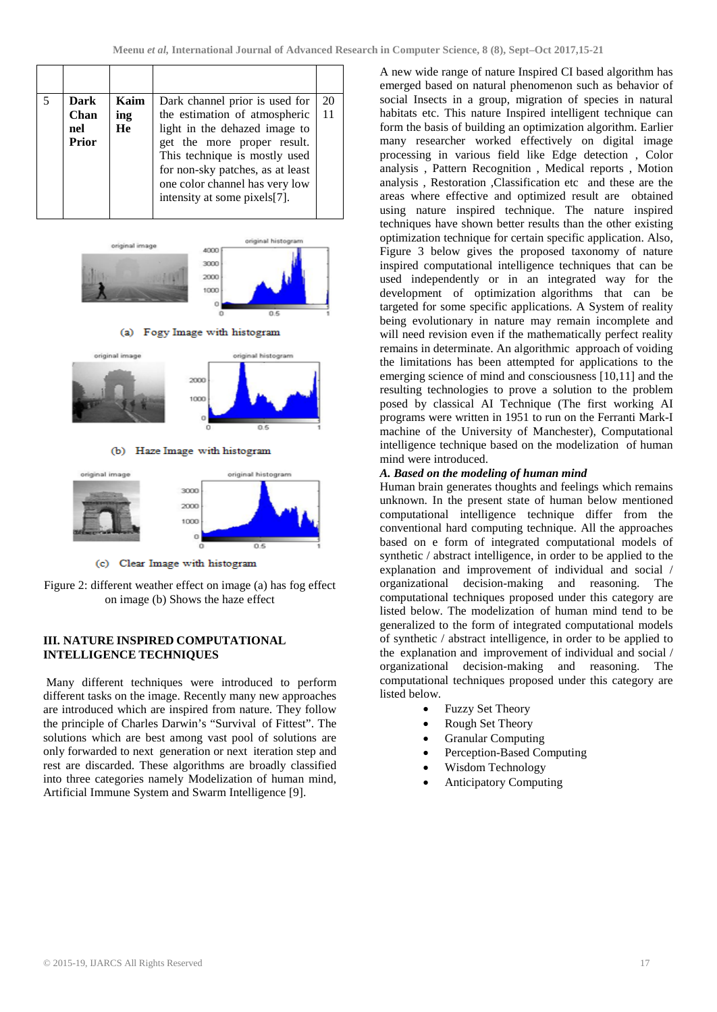| Dark<br><b>Chan</b><br>nel<br>Prior | Kaim<br>ing<br>He | Dark channel prior is used for<br>the estimation of atmospheric<br>light in the dehazed image to<br>get the more proper result.     | 20 |
|-------------------------------------|-------------------|-------------------------------------------------------------------------------------------------------------------------------------|----|
|                                     |                   | This technique is mostly used<br>for non-sky patches, as at least<br>one color channel has very low<br>intensity at some pixels[7]. |    |



(a) Fogy Image with histogram



(b) Haze Image with histogram



(c) Clear Image with histogram

Figure 2: different weather effect on image (a) has fog effect on image (b) Shows the haze effect

## **III. NATURE INSPIRED COMPUTATIONAL INTELLIGENCE TECHNIQUES**

Many different techniques were introduced to perform different tasks on the image. Recently many new approaches are introduced which are inspired from nature. They follow the principle of Charles Darwin's "Survival of Fittest". The solutions which are best among vast pool of solutions are only forwarded to next generation or next iteration step and rest are discarded. These algorithms are broadly classified into three categories namely Modelization of human mind, Artificial Immune System and Swarm Intelligence [9].

A new wide range of nature Inspired CI based algorithm has emerged based on natural phenomenon such as behavior of social Insects in a group, migration of species in natural habitats etc. This nature Inspired intelligent technique can form the basis of building an optimization algorithm. Earlier many researcher worked effectively on digital image processing in various field like Edge detection , Color analysis , Pattern Recognition , Medical reports , Motion analysis , Restoration ,Classification etc and these are the areas where effective and optimized result are obtained using nature inspired technique. The nature inspired techniques have shown better results than the other existing optimization technique for certain specific application. Also, Figure 3 below gives the proposed taxonomy of nature inspired computational intelligence techniques that can be used independently or in an integrated way for the development of optimization algorithms that can be targeted for some specific applications. A System of reality being evolutionary in nature may remain incomplete and will need revision even if the mathematically perfect reality remains in determinate. An algorithmic approach of voiding the limitations has been attempted for applications to the emerging science of mind and consciousness [10,11] and the resulting technologies to prove a solution to the problem posed by classical AI Technique (The first working AI programs were written in 1951 to run on the Ferranti Mark-I machine of the University of Manchester), Computational intelligence technique based on the modelization of human mind were introduced.

## *A. Based on the modeling of human mind*

Human brain generates thoughts and feelings which remains unknown. In the present state of human below mentioned computational intelligence technique differ from the conventional hard computing technique. All the approaches based on e form of integrated computational models of synthetic / abstract intelligence, in order to be applied to the explanation and improvement of individual and social / organizational decision-making and reasoning. The computational techniques proposed under this category are listed below. The modelization of human mind tend to be generalized to the form of integrated computational models of synthetic / abstract intelligence, in order to be applied to the explanation and improvement of individual and social  $/$ organizational decision-making and reasoning. The computational techniques proposed under this category are listed below.

- Fuzzy Set Theory
- Rough Set Theory
- Granular Computing
- Perception-Based Computing
- Wisdom Technology
- Anticipatory Computing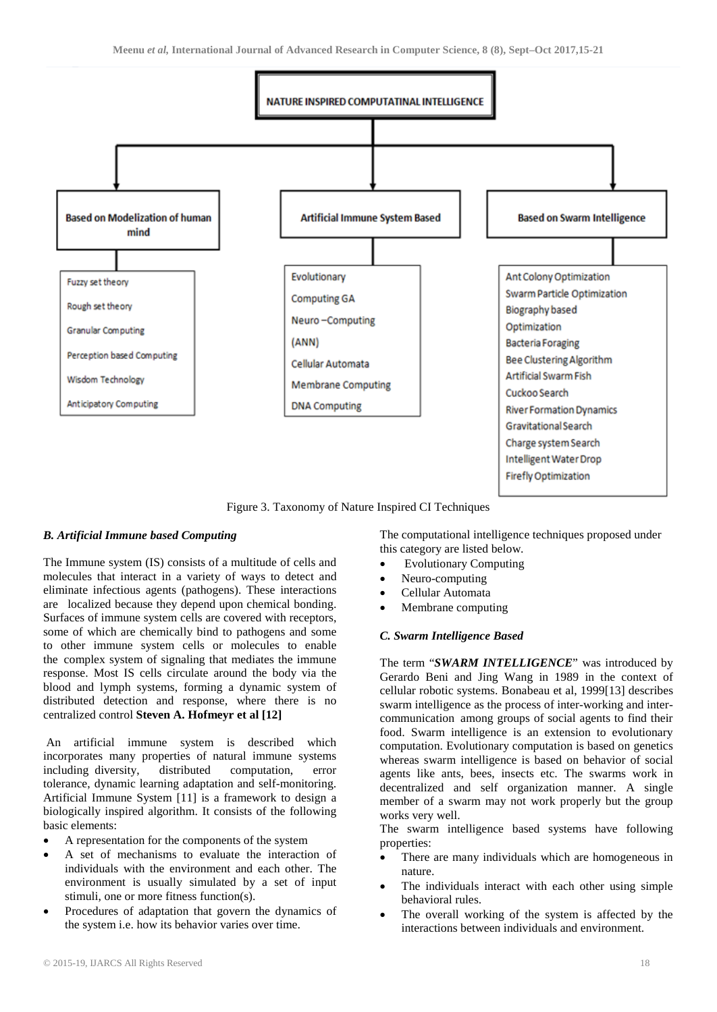

Figure 3. Taxonomy of Nature Inspired CI Techniques

## *B. Artificial Immune based Computing*

The Immune system (IS) consists of a multitude of cells and molecules that interact in a variety of ways to detect and eliminate infectious agents (pathogens). These interactions are localized because they depend upon chemical bonding. Surfaces of immune system cells are covered with receptors, some of which are chemically bind to pathogens and some to other immune system cells or molecules to enable the complex system of signaling that mediates the immune response. Most IS cells circulate around the body via the blood and lymph systems, forming a dynamic system of distributed detection and response, where there is no centralized control **Steven A. Hofmeyr et al [12]**

An artificial immune system is described which incorporates many properties of natural immune systems including diversity, distributed computation, error tolerance, dynamic learning adaptation and self-monitoring. Artificial Immune System [11] is a framework to design a biologically inspired algorithm. It consists of the following basic elements:

- A representation for the components of the system
- A set of mechanisms to evaluate the interaction of individuals with the environment and each other. The environment is usually simulated by a set of input stimuli, one or more fitness function(s).
- Procedures of adaptation that govern the dynamics of the system i.e. how its behavior varies over time.

The computational intelligence techniques proposed under this category are listed below.

- Evolutionary Computing
- Neuro-computing
- Cellular Automata
- Membrane computing

## *C. Swarm Intelligence Based*

The term "*SWARM INTELLIGENCE*" was introduced by Gerardo Beni and Jing Wang in 1989 in the context of cellular robotic systems. Bonabeau et al, 1999[13] describes swarm intelligence as the process of inter-working and intercommunication among groups of social agents to find their food. Swarm intelligence is an extension to evolutionary computation. Evolutionary computation is based on genetics whereas swarm intelligence is based on behavior of social agents like ants, bees, insects etc. The swarms work in decentralized and self organization manner. A single member of a swarm may not work properly but the group works very well.

The swarm intelligence based systems have following properties:

- There are many individuals which are homogeneous in nature.
- The individuals interact with each other using simple behavioral rules.
- The overall working of the system is affected by the interactions between individuals and environment.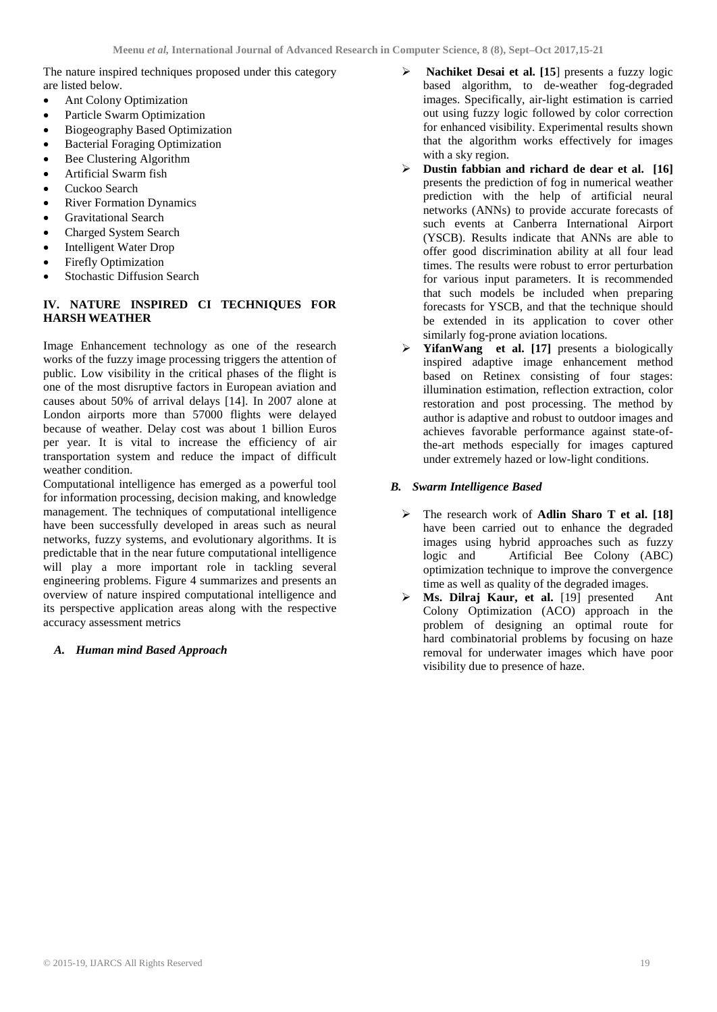The nature inspired techniques proposed under this category are listed below.

- Ant Colony Optimization
- Particle Swarm Optimization
- Biogeography Based Optimization
- Bacterial Foraging Optimization
- Bee Clustering Algorithm
- Artificial Swarm fish
- Cuckoo Search
- **River Formation Dynamics**
- Gravitational Search
- Charged System Search
- Intelligent Water Drop
- Firefly Optimization
- Stochastic Diffusion Search

# **IV. NATURE INSPIRED CI TECHNIQUES FOR HARSH WEATHER**

Image Enhancement technology as one of the research works of the fuzzy image processing triggers the attention of public. Low visibility in the critical phases of the flight is one of the most disruptive factors in European aviation and causes about 50% of arrival delays [14]. In 2007 alone at London airports more than 57000 flights were delayed because of weather. Delay cost was about 1 billion Euros per year. It is vital to increase the efficiency of air transportation system and reduce the impact of difficult weather condition.

Computational intelligence has emerged as a powerful tool for information processing, decision making, and knowledge management. The techniques of computational intelligence have been successfully developed in areas such as neural networks, fuzzy systems, and evolutionary algorithms. It is predictable that in the near future computational intelligence will play a more important role in tackling several engineering problems. Figure 4 summarizes and presents an overview of nature inspired computational intelligence and its perspective application areas along with the respective accuracy assessment metrics

## *A. Human mind Based Approach*

- **Nachiket Desai et al. [15**] presents a fuzzy logic based algorithm, to de-weather fog-degraded images. Specifically, air-light estimation is carried out using fuzzy logic followed by color correction for enhanced visibility. Experimental results shown that the algorithm works effectively for images with a sky region.
- **Dustin fabbian and richard de dear et al. [16]** presents the prediction of fog in numerical weather prediction with the help of artificial neural networks (ANNs) to provide accurate forecasts of such events at Canberra International Airport (YSCB). Results indicate that ANNs are able to offer good discrimination ability at all four lead times. The results were robust to error perturbation for various input parameters. It is recommended that such models be included when preparing forecasts for YSCB, and that the technique should be extended in its application to cover other similarly fog-prone aviation locations.
- **[YifanWang](http://www.sciencedirect.com/science/article/pii/S0925231215017373#%21) et al. [17]** presents a biologically inspired adaptive image enhancement method based on Retinex consisting of four stages: illumination estimation, reflection extraction, color restoration and post processing. The method by author is adaptive and robust to outdoor images and achieves favorable performance against state-ofthe-art methods especially for images captured under extremely hazed or low-light conditions.

## *B. Swarm Intelligence Based*

- The research work of **Adlin Sharo T et al. [18]** have been carried out to enhance the degraded images using hybrid approaches such as fuzzy logic and Artificial Bee Colony (ABC) optimization technique to improve the convergence time as well as quality of the degraded images.
- **Ms. Dilraj Kaur, et al.** [19] presented Ant Colony Optimization (ACO) approach in the problem of designing an optimal route for hard combinatorial problems by focusing on haze removal for underwater images which have poor visibility due to presence of haze.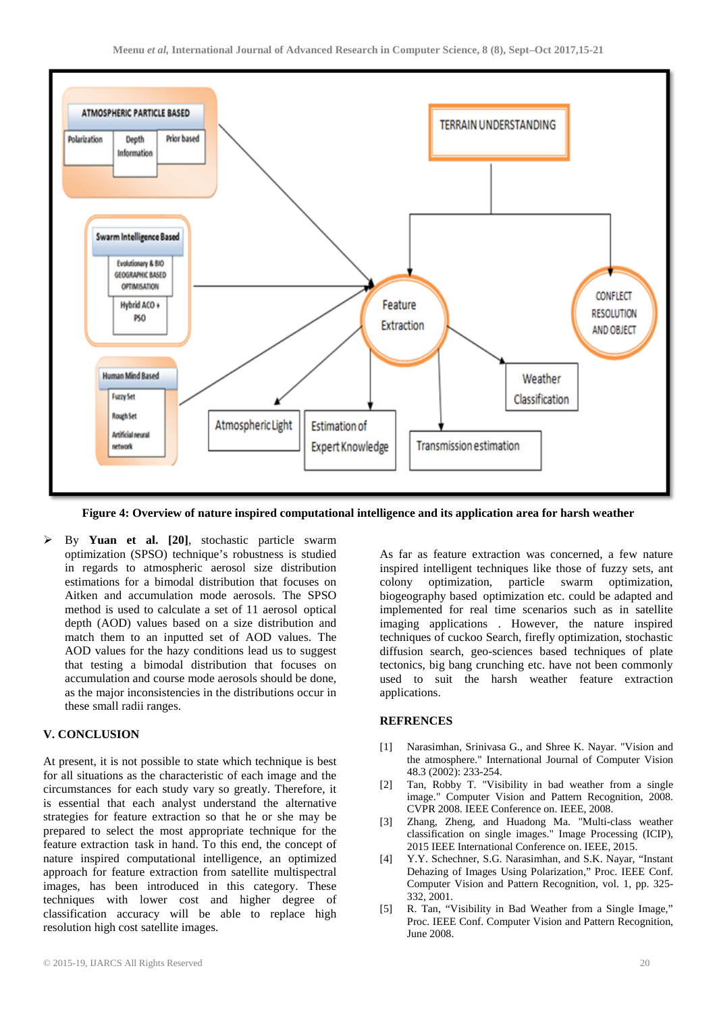

**Figure 4: Overview of nature inspired computational intelligence and its application area for harsh weather**

 By **Yuan et al. [20]**, stochastic particle swarm optimization (SPSO) technique's robustness is studied in regards to atmospheric aerosol size distribution estimations for a bimodal distribution that focuses on Aitken and accumulation mode aerosols. The SPSO method is used to calculate a set of 11 aerosol optical depth (AOD) values based on a size distribution and match them to an inputted set of AOD values. The AOD values for the hazy conditions lead us to suggest that testing a bimodal distribution that focuses on accumulation and course mode aerosols should be done, as the major inconsistencies in the distributions occur in these small radii ranges.

#### **V. CONCLUSION**

At present, it is not possible to state which technique is best for all situations as the characteristic of each image and the circumstances for each study vary so greatly. Therefore, it is essential that each analyst understand the alternative strategies for feature extraction so that he or she may be prepared to select the most appropriate technique for the feature extraction task in hand. To this end, the concept of nature inspired computational intelligence, an optimized approach for feature extraction from satellite multispectral images, has been introduced in this category. These techniques with lower cost and higher degree of classification accuracy will be able to replace high resolution high cost satellite images.

As far as feature extraction was concerned, a few nature inspired intelligent techniques like those of fuzzy sets, ant colony optimization, particle swarm optimization, biogeography based optimization etc. could be adapted and implemented for real time scenarios such as in satellite imaging applications . However, the nature inspired techniques of cuckoo Search, firefly optimization, stochastic diffusion search, geo-sciences based techniques of plate tectonics, big bang crunching etc. have not been commonly used to suit the harsh weather feature extraction applications.

#### **REFRENCES**

- [1] Narasimhan, Srinivasa G., and Shree K. Nayar. "Vision and the atmosphere." International Journal of Computer Vision 48.3 (2002): 233-254.
- [2] Tan, Robby T. "Visibility in bad weather from a single image." Computer Vision and Pattern Recognition, 2008. CVPR 2008. IEEE Conference on. IEEE, 2008.
- [3] Zhang, Zheng, and Huadong Ma. "Multi-class weather classification on single images." Image Processing (ICIP), 2015 IEEE International Conference on. IEEE, 2015.
- [4] Y.Y. Schechner, S.G. Narasimhan, and S.K. Nayar, "Instant Dehazing of Images Using Polarization," Proc. IEEE Conf. Computer Vision and Pattern Recognition, vol. 1, pp. 325- 332, 2001.
- [5] R. Tan, "Visibility in Bad Weather from a Single Image," Proc. IEEE Conf. Computer Vision and Pattern Recognition, June 2008.